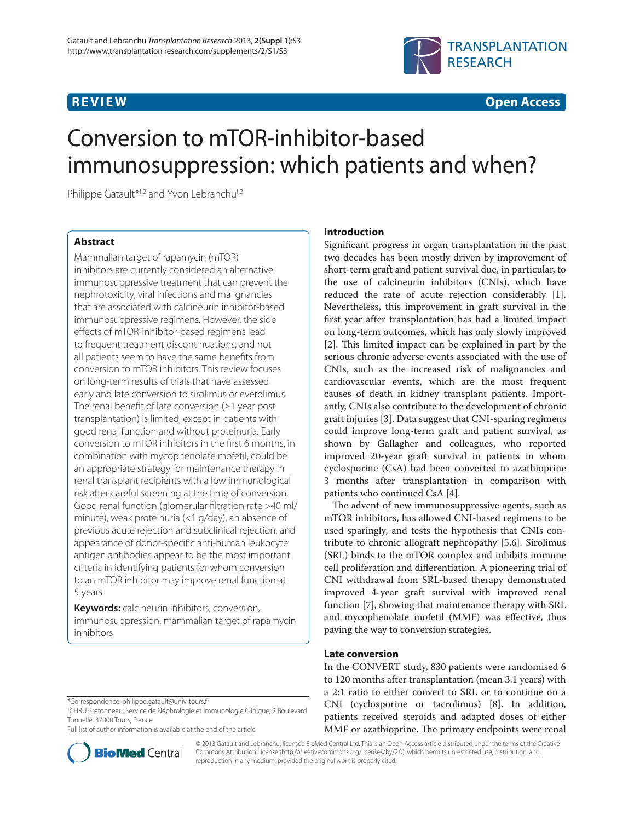

**REVIEW CONSTRUCTION CONSTRUCTION** 

# Conversion to mTOR-inhibitor-based immunosuppression: which patients and when?

Philippe Gatault<sup>\*1,2</sup> and Yvon Lebranchu<sup>1,2</sup>

# **Abstract**

Mammalian target of rapamycin (mTOR) inhibitors are currently considered an alternative immunosuppressive treatment that can prevent the nephrotoxicity, viral infections and malignancies that are associated with calcineurin inhibitor-based immunosuppressive regimens. However, the side effects of mTOR-inhibitor-based regimens lead to frequent treatment discontinuations, and not all patients seem to have the same benefits from conversion to mTOR inhibitors. This review focuses on long-term results of trials that have assessed early and late conversion to sirolimus or everolimus. The renal benefit of late conversion ( $\geq 1$  year post transplantation) is limited, except in patients with good renal function and without proteinuria. Early conversion to mTOR inhibitors in the first 6 months, in combination with mycophenolate mofetil, could be an appropriate strategy for maintenance therapy in renal transplant recipients with a low immunological risk after careful screening at the time of conversion. Good renal function (glomerular filtration rate >40 ml/ minute), weak proteinuria (<1 g/day), an absence of previous acute rejection and subclinical rejection, and appearance of donor-specific anti-human leukocyte antigen antibodies appear to be the most important criteria in identifying patients for whom conversion to an mTOR inhibitor may improve renal function at 5 years.

**Keywords:** calcineurin inhibitors, conversion, immunosuppression, mammalian target of rapamycin inhibitors

Full list of author information is available at the end of the article



# **Introduction**

Significant progress in organ transplantation in the past two decades has been mostly driven by improvement of short-term graft and patient survival due, in particular, to the use of calcineurin inhibitors (CNIs), which have reduced the rate of acute rejection considerably [1]. Nevertheless, this improvement in graft survival in the first year after transplantation has had a limited impact on long-term outcomes, which has only slowly improved [2]. This limited impact can be explained in part by the serious chronic adverse events associated with the use of CNIs, such as the increased risk of malignancies and cardiovascular events, which are the most frequent causes of death in kidney transplant patients. Importantly, CNIs also contribute to the development of chronic graft injuries [3]. Data suggest that CNI-sparing regimens could improve long-term graft and patient survival, as shown by Gallagher and colleagues, who reported improved 20-year graft survival in patients in whom cyclosporine (CsA) had been converted to azathioprine 3 months after transplantation in comparison with patients who continued CsA [4].

The advent of new immunosuppressive agents, such as mTOR inhibitors, has allowed CNI-based regimens to be used sparingly, and tests the hypothesis that CNIs contribute to chronic allograft nephropathy [5,6]. Sirolimus (SRL) binds to the mTOR complex and inhibits immune cell proliferation and differentiation. A pioneering trial of CNI withdrawal from SRL-based therapy demonstrated improved 4-year graft survival with improved renal function [7], showing that maintenance therapy with SRL and mycophenolate mofetil (MMF) was effective, thus paving the way to conversion strategies.

# **Late conversion**

In the CONVERT study, 830 patients were randomised 6 to 120 months after transplantation (mean 3.1 years) with a 2:1 ratio to either convert to SRL or to continue on a CNI (cyclosporine or tacrolimus) [8]. In addition, patients received steroids and adapted doses of either MMF or azathioprine. The primary endpoints were renal

© 2013 Gatault and Lebranchu; licensee BioMed Central Ltd. This is an Open Access article distributed under the terms of the Creative Commons Attribution License (http://creativecommons.org/licenses/by/2.0), which permits unrestricted use, distribution, and reproduction in any medium, provided the original work is properly cited.

<sup>\*</sup>Correspondence: philippe.gatault@univ-tours.fr

<sup>1</sup> CHRU Bretonneau, Service de Néphrologie et Immunologie Clinique, 2 Boulevard Tonnellé, 37000 Tours, France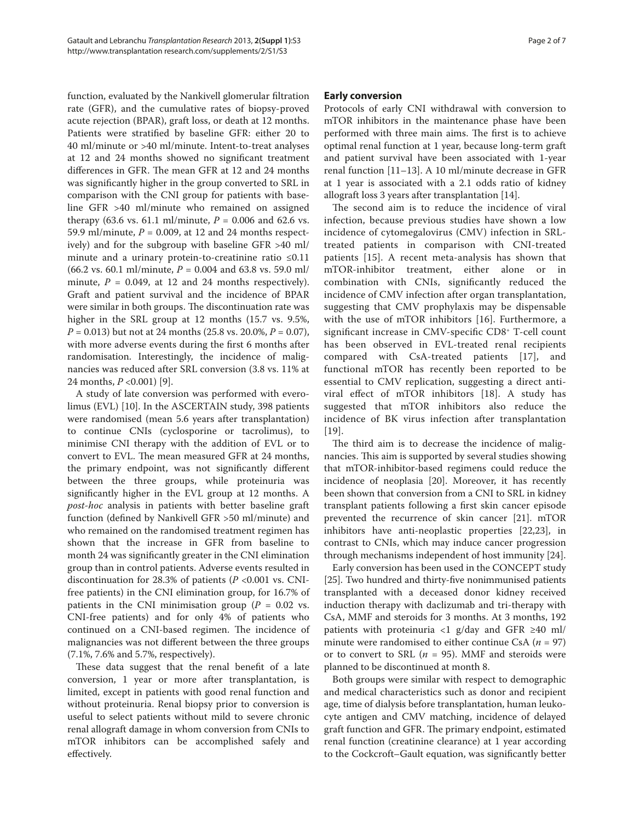function, evaluated by the Nankivell glomerular filtration rate (GFR), and the cumulative rates of biopsy-proved acute rejection (BPAR), graft loss, or death at 12 months. Patients were stratified by baseline GFR: either 20 to 40 ml/minute or >40 ml/minute. Intent-to-treat analyses at 12 and 24 months showed no significant treatment differences in GFR. The mean GFR at 12 and 24 months was significantly higher in the group converted to SRL in comparison with the CNI group for patients with baseline GFR >40 ml/minute who remained on assigned therapy (63.6 vs. 61.1 ml/minute,  $P = 0.006$  and 62.6 vs. 59.9 ml/minute,  $P = 0.009$ , at 12 and 24 months respectively) and for the subgroup with baseline GFR >40 ml/ minute and a urinary protein-to-creatinine ratio ≤0.11 (66.2 vs. 60.1 ml/minute, *P* = 0.004 and 63.8 vs. 59.0 ml/ minute,  $P = 0.049$ , at 12 and 24 months respectively). Graft and patient survival and the incidence of BPAR were similar in both groups. The discontinuation rate was higher in the SRL group at 12 months (15.7 vs. 9.5%, *P* = 0.013) but not at 24 months (25.8 vs. 20.0%, *P* = 0.07), with more adverse events during the first 6 months after randomisation. Interestingly, the incidence of malignancies was reduced after SRL conversion (3.8 vs. 11% at 24 months, *P* <0.001) [9].

A study of late conversion was performed with everolimus (EVL) [10]. In the ASCERTAIN study, 398 patients were randomised (mean 5.6 years after transplantation) to continue CNIs (cyclosporine or tacrolimus), to minimise CNI therapy with the addition of EVL or to convert to EVL. The mean measured GFR at 24 months, the primary endpoint, was not significantly different between the three groups, while proteinuria was significantly higher in the EVL group at 12 months. A *post-hoc* analysis in patients with better baseline graft function (defined by Nankivell GFR >50 ml/minute) and who remained on the randomised treatment regimen has shown that the increase in GFR from baseline to month 24 was significantly greater in the CNI elimination group than in control patients. Adverse events resulted in discontinuation for 28.3% of patients (*P* <0.001 vs. CNIfree patients) in the CNI elimination group, for 16.7% of patients in the CNI minimisation group ( $P = 0.02$  vs. CNI-free patients) and for only 4% of patients who continued on a CNI-based regimen. The incidence of malignancies was not different between the three groups (7.1%, 7.6% and 5.7%, respectively).

These data suggest that the renal benefit of a late conversion, 1 year or more after transplantation, is limited, except in patients with good renal function and without proteinuria. Renal biopsy prior to conversion is useful to select patients without mild to severe chronic renal allograft damage in whom conversion from CNIs to mTOR inhibitors can be accomplished safely and effectively.

# **Early conversion**

Protocols of early CNI withdrawal with conversion to mTOR inhibitors in the maintenance phase have been performed with three main aims. The first is to achieve optimal renal function at 1 year, because long-term graft and patient survival have been associated with 1-year renal function [11–13]. A 10 ml/minute decrease in GFR at 1 year is associated with a 2.1 odds ratio of kidney allograft loss 3 years after transplantation [14].

The second aim is to reduce the incidence of viral infection, because previous studies have shown a low incidence of cytomegalovirus (CMV) infection in SRLtreated patients in comparison with CNI-treated patients [15]. A recent meta-analysis has shown that mTOR-inhibitor treatment, either alone or in combination with CNIs, significantly reduced the incidence of CMV infection after organ transplantation, suggesting that CMV prophylaxis may be dispensable with the use of mTOR inhibitors [16]. Furthermore, a significant increase in CMV-specific CD8<sup>+</sup> T-cell count has been observed in EVL-treated renal recipients compared with CsA-treated patients [17], and functional mTOR has recently been reported to be essential to CMV replication, suggesting a direct antiviral effect of mTOR inhibitors [18]. A study has suggested that mTOR inhibitors also reduce the incidence of BK virus infection after transplantation [19].

The third aim is to decrease the incidence of malignancies. This aim is supported by several studies showing that mTOR-inhibitor-based regimens could reduce the incidence of neoplasia [20]. Moreover, it has recently been shown that conversion from a CNI to SRL in kidney transplant patients following a first skin cancer episode prevented the recurrence of skin cancer [21]. mTOR inhibitors have anti-neoplastic properties [22,23], in contrast to CNIs, which may induce cancer progression through mechanisms independent of host immunity [24].

Early conversion has been used in the CONCEPT study [25]. Two hundred and thirty-five nonimmunised patients transplanted with a deceased donor kidney received induction therapy with daclizumab and tri-therapy with CsA, MMF and steroids for 3 months. At 3 months, 192 patients with proteinuria <1 g/day and GFR ≥40 ml/ minute were randomised to either continue CsA (*n* = 97) or to convert to SRL ( $n = 95$ ). MMF and steroids were planned to be discontinued at month 8.

Both groups were similar with respect to demographic and medical characteristics such as donor and recipient age, time of dialysis before transplantation, human leukocyte antigen and CMV matching, incidence of delayed graft function and GFR. The primary endpoint, estimated renal function (creatinine clearance) at 1 year according to the Cockcroft–Gault equation, was significantly better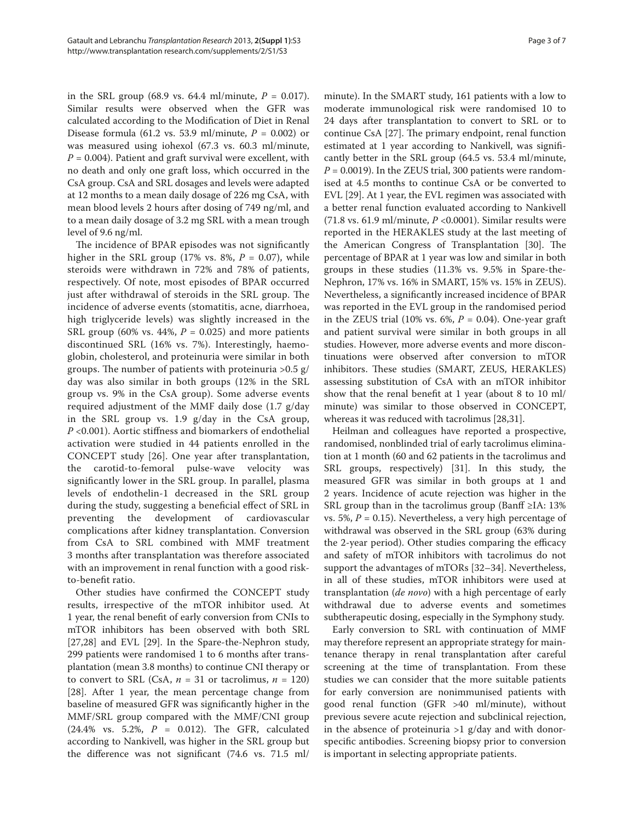in the SRL group (68.9 vs. 64.4 ml/minute,  $P = 0.017$ ). Similar results were observed when the GFR was calculated according to the Modification of Diet in Renal Disease formula (61.2 vs. 53.9 ml/minute, *P*  = 0.002) or was measured using iohexol (67.3 vs. 60.3 ml/minute,  $P = 0.004$ ). Patient and graft survival were excellent, with no death and only one graft loss, which occurred in the CsA group. CsA and SRL dosages and levels were adapted at 12 months to a mean daily dosage of 226 mg CsA, with mean blood levels 2 hours after dosing of 749 ng/ml, and to a mean daily dosage of 3.2 mg SRL with a mean trough level of 9.6 ng/ml.

The incidence of BPAR episodes was not significantly higher in the SRL group (17% vs. 8%,  $P = 0.07$ ), while steroids were withdrawn in 72% and 78% of patients, respectively. Of note, most episodes of BPAR occurred just after withdrawal of steroids in the SRL group. The incidence of adverse events (stomatitis, acne, diarrhoea, high triglyceride levels) was slightly increased in the SRL group (60% vs. 44%, *P* = 0.025) and more patients discontinued SRL (16% vs. 7%). Interestingly, haemoglobin, cholesterol, and proteinuria were similar in both groups. The number of patients with proteinuria  $>0.5$  g/ day was also similar in both groups (12% in the SRL group vs. 9% in the CsA group). Some adverse events required adjustment of the MMF daily dose (1.7 g/day in the SRL group vs. 1.9 g/day in the CsA group, *P* <0.001). Aortic stiffness and biomarkers of endothelial activation were studied in 44 patients enrolled in the CONCEPT study [26]. One year after transplantation, the carotid-to-femoral pulse-wave velocity was significantly lower in the SRL group. In parallel, plasma levels of endothelin-1 decreased in the SRL group during the study, suggesting a beneficial effect of SRL in preventing the development of cardiovascular complications after kidney transplantation. Conversion from CsA to SRL combined with MMF treatment 3 months after transplantation was therefore associated with an improvement in renal function with a good riskto-benefit ratio.

Other studies have confirmed the CONCEPT study results, irrespective of the mTOR inhibitor used. At 1 year, the renal benefit of early conversion from CNIs to mTOR inhibitors has been observed with both SRL [27,28] and EVL [29]. In the Spare-the-Nephron study, 299 patients were randomised 1 to 6 months after transplantation (mean 3.8 months) to continue CNI therapy or to convert to SRL (CsA,  $n = 31$  or tacrolimus,  $n = 120$ ) [28]. After 1 year, the mean percentage change from baseline of measured GFR was significantly higher in the MMF/SRL group compared with the MMF/CNI group  $(24.4\% \text{ vs. } 5.2\%, P = 0.012)$ . The GFR, calculated according to Nankivell, was higher in the SRL group but the difference was not significant  $(74.6 \text{ vs. } 71.5 \text{ ml})$ 

minute). In the SMART study, 161 patients with a low to moderate immunological risk were randomised 10 to 24 days after transplantation to convert to SRL or to continue CsA  $[27]$ . The primary endpoint, renal function estimated at 1 year according to Nankivell, was significantly better in the SRL group (64.5 vs. 53.4 ml/minute,  $P = 0.0019$ ). In the ZEUS trial, 300 patients were randomised at 4.5 months to continue CsA or be converted to EVL [29]. At 1 year, the EVL regimen was associated with a better renal function evaluated according to Nankivell (71.8 vs. 61.9 ml/minute, *P* <0.0001). Similar results were reported in the HERAKLES study at the last meeting of the American Congress of Transplantation [30]. The percentage of BPAR at 1 year was low and similar in both groups in these studies (11.3% vs. 9.5% in Spare-the-Nephron, 17% vs. 16% in SMART, 15% vs. 15% in ZEUS). Nevertheless, a significantly increased incidence of BPAR was reported in the EVL group in the randomised period in the ZEUS trial (10% vs. 6%, *P* = 0.04). One-year graft and patient survival were similar in both groups in all studies. However, more adverse events and more discontinuations were observed after conversion to mTOR inhibitors. These studies (SMART, ZEUS, HERAKLES) assessing substitution of CsA with an mTOR inhibitor show that the renal benefit at 1 year (about 8 to 10 ml/ minute) was similar to those observed in CONCEPT, whereas it was reduced with tacrolimus [28,31].

Heilman and colleagues have reported a prospective, randomised, nonblinded trial of early tacrolimus elimination at 1 month (60 and 62 patients in the tacrolimus and SRL groups, respectively) [31]. In this study, the measured GFR was similar in both groups at 1 and 2 years. Incidence of acute rejection was higher in the SRL group than in the tacrolimus group (Banff ≥IA: 13% vs. 5%, *P* = 0.15). Nevertheless, a very high percentage of withdrawal was observed in the SRL group (63% during the 2-year period). Other studies comparing the efficacy and safety of mTOR inhibitors with tacrolimus do not support the advantages of mTORs [32–34]. Nevertheless, in all of these studies, mTOR inhibitors were used at trans plantation (*de novo*) with a high percentage of early withdrawal due to adverse events and sometimes subthera peutic dosing, especially in the Symphony study.

Early conversion to SRL with continuation of MMF may therefore represent an appropriate strategy for maintenance therapy in renal transplantation after careful screening at the time of transplantation. From these studies we can consider that the more suitable patients for early conversion are nonimmunised patients with good renal function (GFR >40 ml/minute), without previous severe acute rejection and subclinical rejection, in the absence of proteinuria  $>1$  g/day and with donorspecific antibodies. Screening biopsy prior to conversion is important in selecting appropriate patients.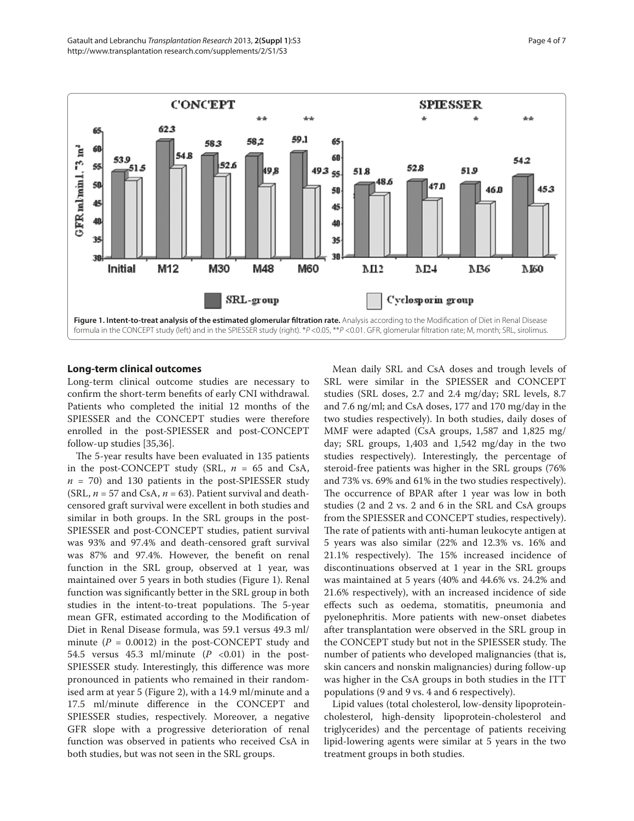

## **Long-term clinical outcomes**

Long-term clinical outcome studies are necessary to confirm the short-term benefits of early CNI withdrawal. Patients who completed the initial 12 months of the SPIESSER and the CONCEPT studies were therefore enrolled in the post-SPIESSER and post-CONCEPT follow-up studies [35,36].

The 5-year results have been evaluated in 135 patients in the post-CONCEPT study (SRL,  $n = 65$  and CsA,  $n = 70$ ) and 130 patients in the post-SPIESSER study (SRL,  $n = 57$  and CsA,  $n = 63$ ). Patient survival and deathcensored graft survival were excellent in both studies and similar in both groups. In the SRL groups in the post-SPIESSER and post-CONCEPT studies, patient survival was 93% and 97.4% and death-censored graft survival was 87% and 97.4%. However, the benefit on renal function in the SRL group, observed at 1 year, was maintained over 5 years in both studies (Figure 1). Renal function was significantly better in the SRL group in both studies in the intent-to-treat populations. The 5-year mean GFR, estimated according to the Modification of Diet in Renal Disease formula, was 59.1 versus 49.3 ml/ minute  $(P = 0.0012)$  in the post-CONCEPT study and 54.5 versus 45.3 ml/minute (*P*  <0.01) in the post-SPIESSER study. Interestingly, this difference was more pronounced in patients who remained in their randomised arm at year 5 (Figure 2), with a 14.9 ml/minute and a 17.5 ml/minute difference in the CONCEPT and SPIESSER studies, respectively. Moreover, a negative GFR slope with a progressive deterioration of renal function was observed in patients who received CsA in both studies, but was not seen in the SRL groups.

Mean daily SRL and CsA doses and trough levels of SRL were similar in the SPIESSER and CONCEPT studies (SRL doses, 2.7 and 2.4 mg/day; SRL levels, 8.7 and 7.6 ng/ml; and CsA doses, 177 and 170 mg/day in the two studies respectively). In both studies, daily doses of MMF were adapted (CsA groups, 1,587 and 1,825 mg/ day; SRL groups, 1,403 and 1,542 mg/day in the two studies respectively). Interestingly, the percentage of steroid-free patients was higher in the SRL groups (76% and 73% vs. 69% and 61% in the two studies respectively). The occurrence of BPAR after 1 year was low in both studies (2 and 2 vs. 2 and 6 in the SRL and CsA groups from the SPIESSER and CONCEPT studies, respectively). The rate of patients with anti-human leukocyte antigen at 5 years was also similar (22% and 12.3% vs. 16% and 21.1% respectively). The 15% increased incidence of discontinuations observed at 1 year in the SRL groups was maintained at 5 years (40% and 44.6% vs. 24.2% and 21.6% respectively), with an increased incidence of side effects such as oedema, stomatitis, pneumonia and pyelonephritis. More patients with new-onset diabetes after transplantation were observed in the SRL group in the CONCEPT study but not in the SPIESSER study. The number of patients who developed malignancies (that is, skin cancers and nonskin malignancies) during follow-up was higher in the CsA groups in both studies in the ITT populations (9 and 9 vs. 4 and 6 respectively).

Lipid values (total cholesterol, low-density lipoproteincholesterol, high-density lipoprotein-cholesterol and triglycerides) and the percentage of patients receiving lipid-lowering agents were similar at 5 years in the two treatment groups in both studies.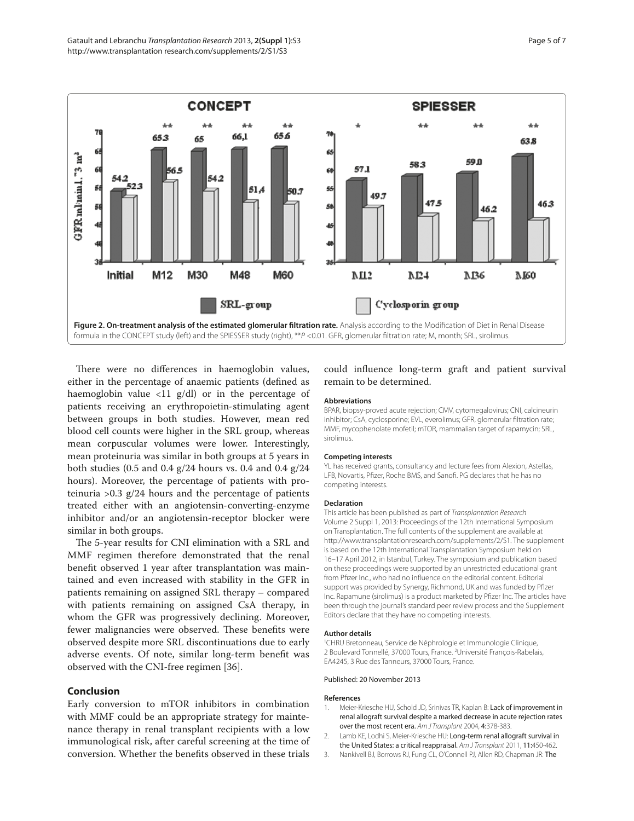

There were no differences in haemoglobin values, either in the percentage of anaemic patients (defined as haemoglobin value  $\langle 11 \text{ g/dl} \rangle$  or in the percentage of patients receiving an erythropoietin-stimulating agent between groups in both studies. However, mean red blood cell counts were higher in the SRL group, whereas mean corpuscular volumes were lower. Interestingly, mean proteinuria was similar in both groups at 5 years in both studies (0.5 and 0.4 g/24 hours vs. 0.4 and 0.4 g/24 hours). Moreover, the percentage of patients with proteinuria  $>0.3$  g/24 hours and the percentage of patients treated either with an angiotensin-converting-enzyme inhibitor and/or an angiotensin-receptor blocker were similar in both groups.

The 5-year results for CNI elimination with a SRL and MMF regimen therefore demonstrated that the renal benefit observed 1 year after transplantation was maintained and even increased with stability in the GFR in patients remaining on assigned SRL therapy – compared with patients remaining on assigned CsA therapy, in whom the GFR was progressively declining. Moreover, fewer malignancies were observed. These benefits were observed despite more SRL discontinuations due to early adverse events. Of note, similar long-term benefit was observed with the CNI-free regimen [36].

# **Conclusion**

Early conversion to mTOR inhibitors in combination with MMF could be an appropriate strategy for maintenance therapy in renal transplant recipients with a low immunological risk, after careful screening at the time of conversion. Whether the benefits observed in these trials

could influence long-term graft and patient survival remain to be determined.

#### **Abbreviations**

BPAR, biopsy-proved acute rejection; CMV, cytomegalovirus; CNI, calcineurin inhibitor; CsA, cyclosporine; EVL, everolimus; GFR, glomerular filtration rate; MMF, mycophenolate mofetil; mTOR, mammalian target of rapamycin; SRL, sirolimus.

#### **Competing interests**

YL has received grants, consultancy and lecture fees from Alexion, Astellas, LFB, Novartis, Pfi zer, Roche BMS, and Sanofi . PG declares that he has no competing interests.

#### **Declaration**

This article has been published as part of Transplantation Research Volume 2 Suppl 1, 2013: Proceedings of the 12th International Symposium on Transplantation. The full contents of the supplement are available at http://www.transplantationresearch.com/supplements/2/S1. The supplement is based on the 12th International Transplantation Symposium held on 16–17 April 2012, in Istanbul, Turkey. The symposium and publication based on these proceedings were supported by an unrestricted educational grant from Pfizer Inc., who had no influence on the editorial content. Editorial support was provided by Synergy, Richmond, UK and was funded by Pfizer Inc. Rapamune (sirolimus) is a product marketed by Pfizer Inc. The articles have been through the journal's standard peer review process and the Supplement Editors declare that they have no competing interests.

#### **Author details**

1 CHRU Bretonneau, Service de Néphrologie et Immunologie Clinique, 2 Boulevard Tonnellé, 37000 Tours, France. 2 Université François-Rabelais, EA4245, 3 Rue des Tanneurs, 37000 Tours, France.

### Published: 20 November 2013

#### **References**

- 1. Meier-Kriesche HU, Schold JD, Srinivas TR, Kaplan B: Lack of improvement in renal allograft survival despite a marked decrease in acute rejection rates over the most recent era. Am J Transplant 2004, 4:378-383.
- 2. Lamb KE, Lodhi S, Meier-Kriesche HU: Long-term renal allograft survival in the United States: a critical reappraisal. Am J Transplant 2011, 11:450-462.
- 3. Nankivell BJ, Borrows RJ, Fung CL, O'Connell PJ, Allen RD, Chapman JR: The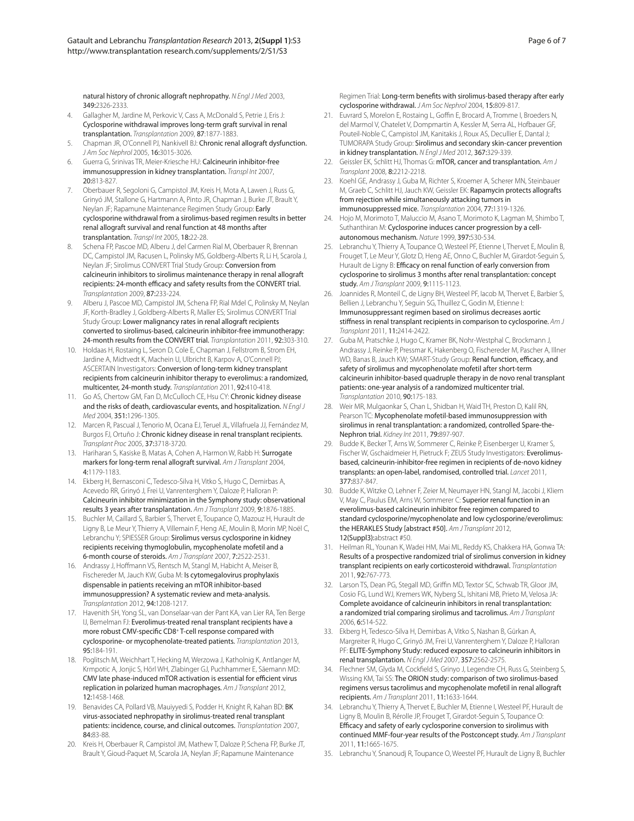natural history of chronic allograft nephropathy. N Engl J Med 2003, 349:2326-2333.

- 4. Gallagher M, Jardine M, Perkovic V, Cass A, McDonald S, Petrie J, Eris J: Cyclosporine withdrawal improves long-term graft survival in renal transplantation. Transplantation 2009, 87:1877-1883.
- 5. Chapman JR, O'Connell PJ, Nankivell BJ: Chronic renal allograft dysfunction. J Am Soc Nephrol 2005, 16:3015-3026.
- 6. Guerra G, Srinivas TR, Meier-Kriesche HU: Calcineurin inhibitor-free immunosuppression in kidney transplantation. Transpl Int 2007, 20:813-827.
- 7. Oberbauer R, Segoloni G, Campistol JM, Kreis H, Mota A, Lawen J, Russ G, Grinyó JM, Stallone G, Hartmann A, Pinto JR, Chapman J, Burke JT, Brault Y, Neylan JF; Rapamune Maintenance Regimen Study Group: Early cyclosporine withdrawal from a sirolimus-based regimen results in better renal allograft survival and renal function at 48 months after transplantation. Transpl Int 2005, 18:22-28.
- 8. Schena FP, Pascoe MD, Alberu J, del Carmen Rial M, Oberbauer R, Brennan DC, Campistol JM, Racusen L, Polinsky MS, Goldberg-Alberts R, Li H, Scarola J, Neylan JF; Sirolimus CONVERT Trial Study Group: Conversion from calcineurin inhibitors to sirolimus maintenance therapy in renal allograft recipients: 24-month efficacy and safety results from the CONVERT trial. Transplantation 2009, 87:233-224.
- 9. Alberu J, Pascoe MD, Campistol JM, Schena FP, Rial Mdel C, Polinsky M, Neylan JF, Korth-Bradley J, Goldberg-Alberts R, Maller ES; Sirolimus CONVERT Trial Study Group: Lower malignancy rates in renal allograft recipients converted to sirolimus-based, calcineurin inhibitor-free immunotherapy: 24-month results from the CONVERT trial. Transplantation 2011, 92:303-310.
- 10. Holdaas H, Rostaing L, Seron D, Cole E, Chapman J, Fellstrom B, Strom EH, Jardine A, Midtvedt K, Machein U, Ulbricht B, Karpov A, O'Connell PJ; ASCERTAIN Investigators: Conversion of long-term kidney transplant recipients from calcineurin inhibitor therapy to everolimus: a randomized, multicenter, 24-month study. Transplantation 2011, 92:410-418.
- 11. Go AS, Chertow GM, Fan D, McCulloch CE, Hsu CY: Chronic kidney disease and the risks of death, cardiovascular events, and hospitalization. N Engl J Med 2004, 351:1296-1305.
- 12. Marcen R, Pascual J, Tenorio M, Ocana EJ, Teruel JL, Villafruela JJ, Fernández M, Burgos FJ, Ortuño J: Chronic kidney disease in renal transplant recipients. Transplant Proc 2005, 37:3718-3720.
- 13. Hariharan S, Kasiske B, Matas A, Cohen A, Harmon W, Rabb H: Surrogate markers for long-term renal allograft survival. Am J Transplant 2004, 4:1179-1183.
- 14. Ekberg H, Bernasconi C, Tedesco-Silva H, Vitko S, Hugo C, Demirbas A, Acevedo RR, Grinyó J, Frei U, Vanrenterghem Y, Daloze P, Halloran P: Calcineurin inhibitor minimization in the Symphony study: observational results 3 years after transplantation. Am J Transplant 2009, 9:1876-1885.
- 15. Buchler M, Caillard S, Barbier S, Thervet E, Toupance O, Mazouz H, Hurault de Ligny B, Le Meur Y, Thierry A, Villemain F, Heng AE, Moulin B, Morin MP, Noël C, Lebranchu Y; SPIESSER Group: Sirolimus versus cyclosporine in kidney recipients receiving thymoglobulin, mycophenolate mofetil and a 6-month course of steroids. Am J Transplant 2007, 7:2522-2531.
- 16. Andrassy J, Hoffmann VS, Rentsch M, Stangl M, Habicht A, Meiser B, Fischereder M, Jauch KW, Guba M: Is cytomegalovirus prophylaxis dispensable in patients receiving an mTOR inhibitor-based immunosuppression? A systematic review and meta-analysis. Transplantation 2012, 94:1208-1217.
- 17. Havenith SH, Yong SL, van Donselaar-van der Pant KA, van Lier RA, Ten Berge IJ, Bemelman FJ: Everolimus-treated renal transplant recipients have a more robust CMV-specific CD8<sup>+</sup> T-cell response compared with cyclosporine- or mycophenolate-treated patients. Transplantation 2013, 95:184-191.
- 18. Poglitsch M, Weichhart T, Hecking M, Werzowa J, Katholnig K, Antlanger M, Krmpotic A, Jonjic S, Hörl WH, Zlabinger GJ, Puchhammer E, Säemann MD: CMV late phase-induced mTOR activation is essential for efficient virus replication in polarized human macrophages. Am J Transplant 2012, 12:1458-1468.
- 19. Benavides CA, Pollard VB, Mauiyyedi S, Podder H, Knight R, Kahan BD: BK virus-associated nephropathy in sirolimus-treated renal transplant patients: incidence, course, and clinical outcomes. Transplantation 2007, 84:83-88.
- 20. Kreis H, Oberbauer R, Campistol JM, Mathew T, Daloze P, Schena FP, Burke JT, Brault Y, Gioud-Paquet M, Scarola JA, Neylan JF; Rapamune Maintenance

Regimen Trial: Long-term benefits with sirolimus-based therapy after early cyclosporine withdrawal. J Am Soc Nephrol 2004, 15:809-817.

- 21. Euvrard S, Morelon E, Rostaing L, Goffin E, Brocard A, Tromme I, Broeders N, del Marmol V, Chatelet V, Dompmartin A, Kessler M, Serra AL, Hofbauer GF, Pouteil-Noble C, Campistol JM, Kanitakis J, Roux AS, Decullier E, Dantal J; TUMORAPA Study Group: Sirolimus and secondary skin-cancer prevention in kidney transplantation. N Engl J Med 2012, 367:329-339.
- 22. Geissler EK, Schlitt HJ, Thomas G: mTOR, cancer and transplantation, Am J Transplant 2008, 8:2212-2218.
- 23. Koehl GE, Andrassy J, Guba M, Richter S, Kroemer A, Scherer MN, Steinbauer M, Graeb C, Schlitt HJ, Jauch KW, Geissler EK: Rapamycin protects allografts from rejection while simultaneously attacking tumors in immunosuppressed mice. Transplantation 2004, 77:1319-1326.
- 24. Hojo M, Morimoto T, Maluccio M, Asano T, Morimoto K, Lagman M, Shimbo T, Suthanthiran M: Cyclosporine induces cancer progression by a cellautonomous mechanism. Nature 1999, 397:530-534.
- 25. Lebranchu Y, Thierry A, Toupance O, Westeel PF, Etienne I, Thervet E, Moulin B, Frouget T, Le Meur Y, Glotz D, Heng AE, Onno C, Buchler M, Girardot-Seguin S, Hurault de Ligny B: Efficacy on renal function of early conversion from cyclosporine to sirolimus 3 months after renal transplantation: concept study. Am J Transplant 2009, 9:1115-1123.
- 26. Joannides R, Monteil C, de Ligny BH, Westeel PF, Iacob M, Thervet E, Barbier S, Bellien J, Lebranchu Y, Seguin SG, Thuillez C, Godin M, Etienne I: Immunosuppressant regimen based on sirolimus decreases aortic stiffness in renal transplant recipients in comparison to cyclosporine. Am J Transplant 2011, 11:2414-2422.
- 27. Guba M, Pratschke J, Hugo C, Kramer BK, Nohr-Westphal C, Brockmann J, Andrassy J, Reinke P, Pressmar K, Hakenberg O, Fischereder M, Pascher A, Illner WD, Banas B, Jauch KW; SMART-Study Group: Renal function, efficacy, and safety of sirolimus and mycophenolate mofetil after short-term calcineurin inhibitor-based quadruple therapy in de novo renal transplant patients: one-year analysis of a randomized multicenter trial. Transplantation 2010, 90:175-183.
- 28. Weir MR, Mulgaonkar S, Chan L, Shidban H, Waid TH, Preston D, Kalil RN, Pearson TC: Mycophenolate mofetil-based immunosuppression with sirolimus in renal transplantation: a randomized, controlled Spare-the-Nephron trial. Kidney Int 2011, 79:897-907.
- 29. Budde K, Becker T, Arns W, Sommerer C, Reinke P, Eisenberger U, Kramer S, Fischer W, Gschaidmeier H, Pietruck F; ZEUS Study Investigators: Everolimusbased, calcineurin-inhibitor-free regimen in recipients of de-novo kidney transplants: an open-label, randomised, controlled trial. Lancet 2011, 377:837-847.
- 30. Budde K, Witzke O, Lehner F, Zeier M, Neumayer HN, Stangl M, Jacobi J, Kliem V, May C, Paulus EM, Arns W, Sommerer C: Superior renal function in an everolimus-based calcineurin inhibitor free regimen compared to standard cyclosporine/mycophenolate and low cyclosporine/everolimus: the HERAKLES Study [abstract #50]. Am J Transplant 2012, 12(Suppl3):abstract #50.
- Heilman RL, Younan K, Wadei HM, Mai ML, Reddy KS, Chakkera HA, Gonwa TA: Results of a prospective randomized trial of sirolimus conversion in kidney transplant recipients on early corticosteroid withdrawal. Transplantation 2011, 92:767-773.
- 32. Larson TS, Dean PG, Stegall MD, Griffin MD, Textor SC, Schwab TR, Gloor JM, Cosio FG, Lund WJ, Kremers WK, Nyberg SL, Ishitani MB, Prieto M, Velosa JA: Complete avoidance of calcineurin inhibitors in renal transplantation: a randomized trial comparing sirolimus and tacrolimus. Am J Transplant 2006, 6:514-522.
- 33. Ekberg H, Tedesco-Silva H, Demirbas A, Vitko S, Nashan B, Gürkan A, Margreiter R, Hugo C, Grinyó JM, Frei U, Vanrenterghem Y, Daloze P, Halloran PF: ELITE-Symphony Study: reduced exposure to calcineurin inhibitors in renal transplantation. N Engl J Med 2007, 357:2562-2575.
- 34. Flechner SM, Glyda M, Cockfield S, Grinyo J, Legendre CH, Russ G, Steinberg S, Wissing KM, Tai SS: The ORION study: comparison of two sirolimus-based regimens versus tacrolimus and mycophenolate mofetil in renal allograft recipients. Am J Transplant 2011, 11:1633-1644.
- 34. Lebranchu Y, Thierry A, Thervet E, Buchler M, Etienne I, Westeel PF, Hurault de Ligny B, Moulin B, Rérolle JP, Frouget T, Girardot-Seguin S, Toupance O: Efficacy and safety of early cyclosporine conversion to sirolimus with continued MMF-four-year results of the Postconcept study. Am J Transplant 2011, 11:1665-1675.
- 35. Lebranchu Y, Snanoudj R, Toupance O, Weestel PF, Hurault de Ligny B, Buchler